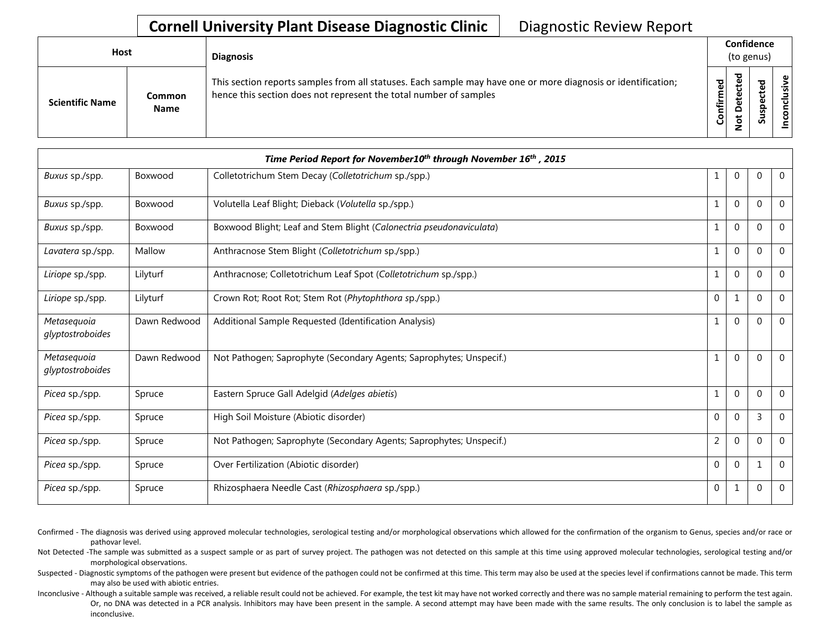## **Cornell University Plant Disease Diagnostic Clinic** | Diagnostic Review Report

| Host                   |                       | <b>Diagnosis</b>                                                                                                                                                                   |           | Confidence<br>(to genus) |   |                 |  |  |
|------------------------|-----------------------|------------------------------------------------------------------------------------------------------------------------------------------------------------------------------------|-----------|--------------------------|---|-----------------|--|--|
| <b>Scientific Name</b> | Common<br><b>Name</b> | This section reports samples from all statuses. Each sample may have one or more diagnosis or identification;<br>hence this section does not represent the total number of samples | Confirmed | ᇃ<br>≏<br>سە<br>⇁<br>-   | ശ | ω<br>usiv<br>᠊ᠣ |  |  |

| Time Period Report for November10 <sup>th</sup> through November 16 <sup>th</sup> , 2015 |              |                                                                     |                |              |                |             |  |
|------------------------------------------------------------------------------------------|--------------|---------------------------------------------------------------------|----------------|--------------|----------------|-------------|--|
| Buxus sp./spp.                                                                           | Boxwood      | Colletotrichum Stem Decay (Colletotrichum sp./spp.)                 | 1              | $\mathbf{0}$ | $\mathbf{0}$   | $\mathbf 0$ |  |
| Buxus sp./spp.                                                                           | Boxwood      | Volutella Leaf Blight; Dieback (Volutella sp./spp.)                 | 1              | $\mathbf{0}$ | $\mathbf{0}$   | 0           |  |
| Buxus sp./spp.                                                                           | Boxwood      | Boxwood Blight; Leaf and Stem Blight (Calonectria pseudonaviculata) | 1              | $\Omega$     | $\Omega$       | $\Omega$    |  |
| Lavatera sp./spp.                                                                        | Mallow       | Anthracnose Stem Blight (Colletotrichum sp./spp.)                   | 1              | $\mathbf{0}$ | $\Omega$       | $\Omega$    |  |
| Liriope sp./spp.                                                                         | Lilyturf     | Anthracnose; Colletotrichum Leaf Spot (Colletotrichum sp./spp.)     | 1              | $\mathbf{0}$ | $\mathbf 0$    | $\Omega$    |  |
| Liriope sp./spp.                                                                         | Lilyturf     | Crown Rot; Root Rot; Stem Rot (Phytophthora sp./spp.)               | $\mathbf{0}$   | 1            | $\Omega$       | $\Omega$    |  |
| Metasequoia<br>glyptostroboides                                                          | Dawn Redwood | Additional Sample Requested (Identification Analysis)               | 1              | $\Omega$     | $\Omega$       | $\Omega$    |  |
| Metasequoia<br>glyptostroboides                                                          | Dawn Redwood | Not Pathogen; Saprophyte (Secondary Agents; Saprophytes; Unspecif.) | 1              | $\mathbf{0}$ | $\Omega$       | $\Omega$    |  |
| Picea sp./spp.                                                                           | Spruce       | Eastern Spruce Gall Adelgid (Adelges abietis)                       | $\mathbf{1}$   | $\mathbf{0}$ | $\mathbf{0}$   | $\Omega$    |  |
| Picea sp./spp.                                                                           | Spruce       | High Soil Moisture (Abiotic disorder)                               | 0              | $\Omega$     | $\overline{3}$ | $\Omega$    |  |
| Picea sp./spp.                                                                           | Spruce       | Not Pathogen; Saprophyte (Secondary Agents; Saprophytes; Unspecif.) | $\overline{2}$ | $\mathbf{0}$ | $\mathbf{0}$   | $\Omega$    |  |
| Picea sp./spp.                                                                           | Spruce       | Over Fertilization (Abiotic disorder)                               | $\mathbf{0}$   | $\mathbf{0}$ | $\mathbf{1}$   | $\Omega$    |  |
| Picea sp./spp.                                                                           | Spruce       | Rhizosphaera Needle Cast (Rhizosphaera sp./spp.)                    | 0              | 1            | $\mathbf 0$    | $\Omega$    |  |

Confirmed - The diagnosis was derived using approved molecular technologies, serological testing and/or morphological observations which allowed for the confirmation of the organism to Genus, species and/or race or pathovar level.

Not Detected -The sample was submitted as a suspect sample or as part of survey project. The pathogen was not detected on this sample at this time using approved molecular technologies, serological testing and/or morphological observations.

Suspected - Diagnostic symptoms of the pathogen were present but evidence of the pathogen could not be confirmed at this time. This term may also be used at the species level if confirmations cannot be made. This term may also be used with abiotic entries.

Inconclusive - Although a suitable sample was received, a reliable result could not be achieved. For example, the test kit may have not worked correctly and there was no sample material remaining to perform the test again. Or, no DNA was detected in a PCR analysis. Inhibitors may have been present in the sample. A second attempt may have been made with the same results. The only conclusion is to label the sample as inconclusive.